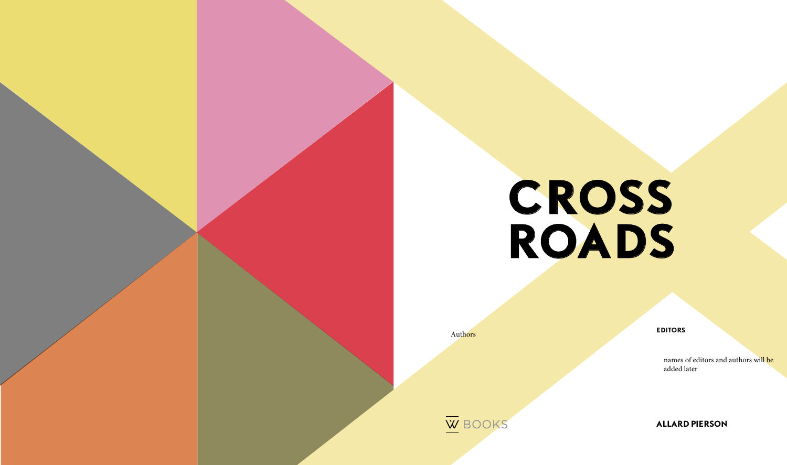

### **ALLARD PIERSON**

#### **EDITORS**

Authors



names of editors and authors will be added later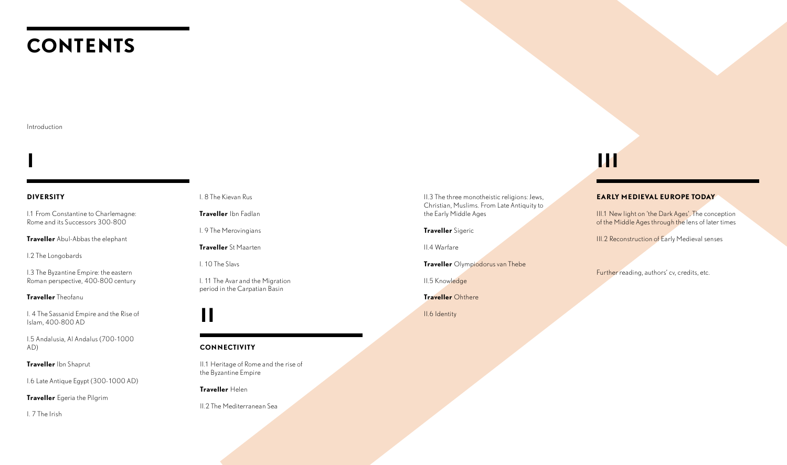# **CONTENTS**

#### **DIVERSITY**

I.1 From Constantine to Charlemagne: Rome and its Successors 300-800

**Traveller** Abul-Abbas the elephant

I.2 The Longobards

I.3 The Byzantine Empire: the eastern Roman perspective, 400-800 century

#### **Traveller** Theofanu

I. 4 The Sassanid Empire and the Rise of Islam, 400-800 AD

I.5 Andalusia, Al Andalus (700-1000 AD)

**Traveller** Ibn Shaprut

I.6 Late Antique Egypt (300-1000 AD)

**Traveller** Egeria the Pilgrim

I. 7 The Irish

I. 8 The Kievan Rus

**Traveller** Ibn Fadlan

I. 9 The Merovingians

**Traveller** St Maarten

I. 10 The Slavs

III.1 New light on 'the Dark Ages'. The conception of the Middle Ages through the lens of later times

**III.2 Reconstruction of Early Medieval senses** 

I. 11 The Avar and the Migration period in the Carpatian Basin

#### Introduction

## **I III**

**II**

#### **CONNECTIVITY**

II.1 Heritage of Rome and the rise of the Byzantine Empire

**Traveller** Helen

II.2 The Mediterranean Sea

II.3 The three monotheistic religions: Jews, Christian, Muslims. From Late Antiquity to the Early Middle Ages

**Traveller** Sigeric

II.4 Warfare

**Traveller** Olympiodorus van Thebe

II.5 Knowledge

**Traveller** Ohthere

II.6 Identity

#### **EARLY MEDIEVAL EUROPE TODAY**

Further reading, authors' cv, credits, etc.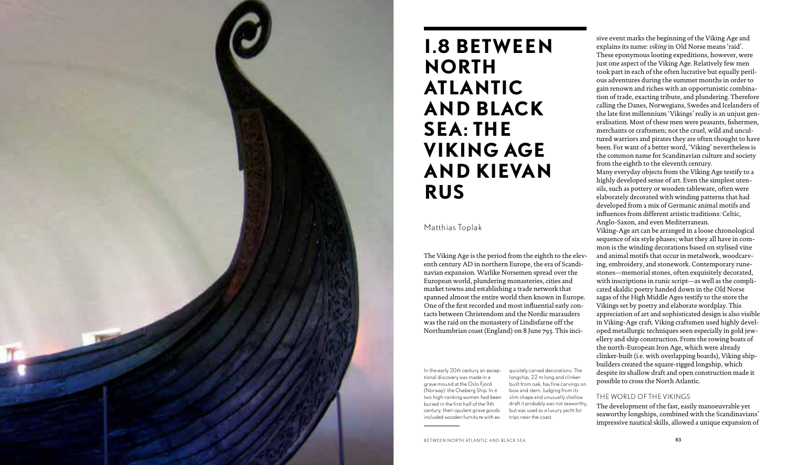

### **I.8 BETWEEN NORTH ATLANTIC AND BLACK SEA: THE VIKING AGE AND KIEVAN RUS**

Matthias Toplak

The Viking Age is the period from the eighth to the eleventh century AD in northern Europe, the era of Scandinavian expansion. Warlike Norsemen spread over the European world, plundering monasteries, cities and market towns and establishing a trade network that spanned almost the entire world then known in Europe. One of the first recorded and most influential early contacts between Christendom and the Nordic marauders was the raid on the monastery of Lindisfarne off the Northumbrian coast (England) on 8 June 793. This inci-

sive event marks the beginning of the Viking Age and explains its name: *viking* in Old Norse means 'raid'. These eponymous looting expeditions, however, were just one aspect of the Viking Age. Relatively few men took part in each of the often lucrative but equally perilous adventures during the summer months in order to gain renown and riches with an opportunistic combination of trade, exacting tribute, and plundering. Therefore calling the Danes, Norwegians, Swedes and Icelanders of the late first millennium 'Vikings' really is an unjust generalisation. Most of these men were peasants, fishermen, merchants or craftsmen; not the cruel, wild and uncultured warriors and pirates they are often thought to have been. For want of a better word, 'Viking' nevertheless is the common name for Scandinavian culture and society from the eighth to the eleventh century.

Many everyday objects from the Viking Age testify to a highly developed sense of art. Even the simplest utensils, such as pottery or wooden tableware, often were elaborately decorated with winding patterns that had developed from a mix of Germanic animal motifs and influences from different artistic traditions: Celtic, Anglo-Saxon, and even Mediterranean.

Viking-Age art can be arranged in a loose chronological sequence of six style phases; what they all have in common is the winding decorations based on stylised vine and animal motifs that occur in metalwork, woodcarving, embroidery, and stonework. Contemporary runestones—memorial stones, often exquisitely decorated, with inscriptions in runic script—as well as the complicated skaldic poetry handed down in the Old Norse sagas of the High Middle Ages testify to the store the Vikings set by poetry and elaborate wordplay. This appreciation of art and sophisticated design is also visible in Viking-Age craft. Viking craftsmen used highly developed metallurgic techniques seen especially in gold jewellery and ship construction. From the rowing boats of the north-European Iron Age, which were already clinker-built (i.e. with overlapping boards), Viking shipbuilders created the square-rigged longship, which despite its shallow draft and open construction made it possible to cross the North Atlantic.

#### THE WORLD OF THE VIKINGS

The development of the fast, easily manoeuvrable yet seaworthy longships, combined with the Scandinavians' impressive nautical skills, allowed a unique expansion of

In the early 20th century an exceptional discovery was made in a grave mound at the Oslo Fjord (Norway): the Oseberg Ship. In it two high-ranking women had been buried in the first half of the 9th century; their opulent grave goods included wooden furniture with exquisitely carved decorations. The longship, 22 m long and clinkerbuilt from oak, has fine carvings on bow and stern. Judging from its slim shape and unusually shallow draft it probably was not seaworthy, but was used as a luxury yacht for trips near the coast.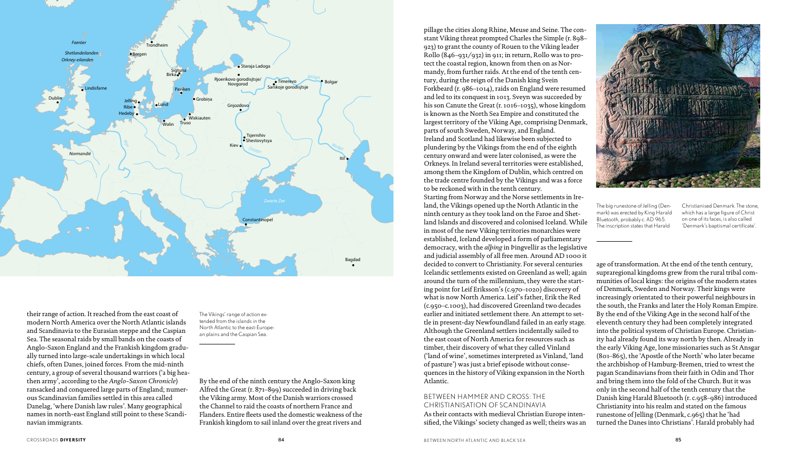their range of action. It reached from the east coast of modern North America over the North Atlantic islands and Scandinavia to the Eurasian steppe and the Caspian Sea. The seasonal raids by small bands on the coasts of Anglo-Saxon England and the Frankish kingdom gradually turned into large-scale undertakings in which local chiefs, often Danes, joined forces. From the mid-ninth century, a group of several thousand warriors ('a big heathen army', according to the *Anglo-Saxon Chronicle*) ransacked and conquered large parts of England; numerous Scandinavian families settled in this area called Danelag, 'where Danish law rules'. Many geographical names in north-east England still point to these Scandinavian immigrants.

pillage the cities along Rhine, Meuse and Seine. The constant Viking threat prompted Charles the Simple (r. 898– 923) to grant the county of Rouen to the Viking leader Rollo (846–931/932) in 911; in return, Rollo was to protect the coastal region, known from then on as Normandy, from further raids. At the end of the tenth century, during the reign of the Danish king Svein Forkbeard (r. 986–1014), raids on England were resumed and led to its conquest in 1013. Sveyn was succeeded by his son Canute the Great (r. 1016–1035), whose kingdom is known as the North Sea Empire and constituted the largest territory of the Viking Age, comprising Denmark, parts of south Sweden, Norway, and England. Ireland and Scotland had likewise been subjected to plundering by the Vikings from the end of the eighth century onward and were later colonised, as were the Orkneys. In Ireland several territories were established, among them the Kingdom of Dublin, which centred on the trade centre founded by the Vikings and was a force to be reckoned with in the tenth century. Starting from Norway and the Norse settlements in Ireland, the Vikings opened up the North Atlantic in the ninth century as they took land on the Faroe and Shetland Islands and discovered and colonised Iceland. While in most of the new Viking territories monarchies were established, Iceland developed a form of parliamentary democracy, with the *alþing* in Þingvellir as the legislative and judicial assembly of all free men. Around AD 1000 it decided to convert to Christianity. For several centuries Icelandic settlements existed on Greenland as well; again around the turn of the millennium, they were the starting point for Leif Eriksson's (c.970–1020) discovery of what is now North America. Leif's father, Erik the Red (c.950–c.1003), had discovered Greenland two decades earlier and initiated settlement there. An attempt to settle in present-day Newfoundland failed in an early stage. Although the Greenland settlers incidentally sailed to the east coast of North America for resources such as timber, their discovery of what they called Vínland ('land of wine', sometimes interpreted as Vinland, 'land of pasture') was just a brief episode without consequences in the history of Viking expansion in the North Atlantic. BETWEEN HAMMER AND CROSS: THE CHRISTIANISATION OF SCANDINAVIA As their contacts with medieval Christian Europe intensified, the Vikings' society changed as well; theirs was an age of transformation. At the end of the tenth century, supraregional kingdoms grew from the rural tribal communities of local kings: the origins of the modern states of Denmark, Sweden and Norway. Their kings were increasingly orientated to their powerful neighbours in the south, the Franks and later the Holy Roman Empire. By the end of the Viking Age in the second half of the eleventh century they had been completely integrated into the political system of Christian Europe. Christianity had already found its way north by then. Already in the early Viking Age, lone missionaries such as St Ansgar (801–865), the 'Apostle of the North' who later became the archbishop of Hamburg-Bremen, tried to wrest the pagan Scandinavians from their faith in Odin and Thor and bring them into the fold of the Church. But it was only in the second half of the tenth century that the Danish king Harald Bluetooth (r. c.958–986) introduced Christianity into his realm and stated on the famous runestone of Jelling (Denmark, c.965) that he 'had turned the Danes into Christians'. Harald probably had The big runestone of Jelling (Denmark) was erected by King Harald Bluetooth, probably c. AD 965. The inscription states that Harald Christianised Denmark. The stone, which has a large figure of Christ on one of its faces, is also called 'Denmark's baptismal certificate'.



By the end of the ninth century the Anglo-Saxon king Alfred the Great (r. 871–899) succeeded in driving back the Viking army. Most of the Danish warriors crossed the Channel to raid the coasts of northern France and Flanders. Entire fleets used the domestic weakness of the Frankish kingdom to sail inland over the great rivers and



The Vikings' range of action extended from the islands in the North Atlantic to the east-European plains and the Caspian Sea.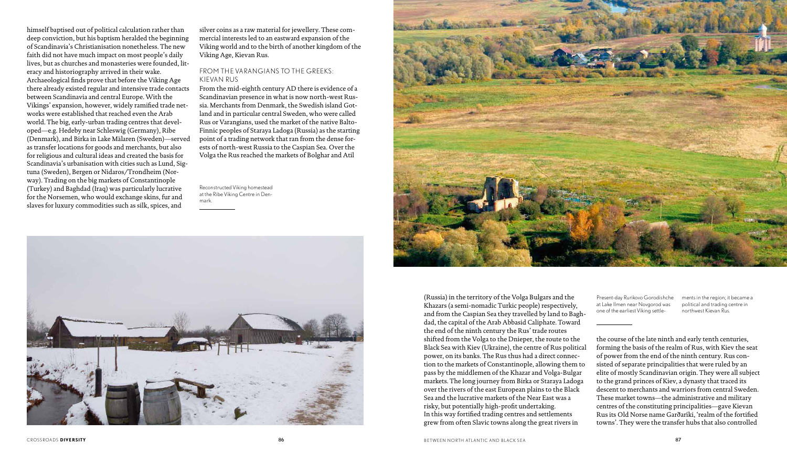himself baptised out of political calculation rather than deep conviction, but his baptism heralded the beginning of Scandinavia's Christianisation nonetheless. The new faith did not have much impact on most people's daily lives, but as churches and monasteries were founded, literacy and historiography arrived in their wake. Archaeological finds prove that before the Viking Age there already existed regular and intensive trade contacts between Scandinavia and central Europe. With the Vikings' expansion, however, widely ramified trade networks were established that reached even the Arab world. The big, early-urban trading centres that developed—e.g. Hedeby near Schleswig (Germany), Ribe (Denmark), and Birka in Lake Mälaren (Sweden)—served as transfer locations for goods and merchants, but also for religious and cultural ideas and created the basis for Scandinavia's urbanisation with cities such as Lund, Sigtuna (Sweden), Bergen or Nidaros/Trondheim (Norway). Trading on the big markets of Constantinople (Turkey) and Baghdad (Iraq) was particularly lucrative for the Norsemen, who would exchange skins, fur and slaves for luxury commodities such as silk, spices, and

silver coins as a raw material for jewellery. These commercial interests led to an eastward expansion of the Viking world and to the birth of another kingdom of the Viking Age, Kievan Rus.

#### FROM THE VARANGIANS TO THE GREEKS: KIEVAN RUS

From the mid-eighth century AD there is evidence of a Scandinavian presence in what is now north-west Russia. Merchants from Denmark, the Swedish island Gotland and in particular central Sweden, who were called Rus or Varangians, used the market of the native Balto-Finnic peoples of Staraya Ladoga (Russia) as the starting point of a trading network that ran from the dense forests of north-west Russia to the Caspian Sea. Over the Volga the Rus reached the markets of Bolghar and Atil

> Present-day Rurikovo Gorodishche at Lake Ilmen near Novgorod was one of the earliest Viking settle-

ments in the region; it became a political and trading centre in northwest Kievan Rus.

Reconstructed Viking homestead at the Ribe Viking Centre in Denmark.





(Russia) in the territory of the Volga Bulgars and the Khazars (a semi-nomadic Turkic people) respectively, and from the Caspian Sea they travelled by land to Baghdad, the capital of the Arab Abbasid Caliphate. Toward the end of the ninth century the Rus' trade routes shifted from the Volga to the Dnieper, the route to the Black Sea with Kiev (Ukraine), the centre of Rus political power, on its banks. The Rus thus had a direct connection to the markets of Constantinople, allowing them to pass by the middlemen of the Khazar and Volga-Bulgar markets. The long journey from Birka or Staraya Ladoga over the rivers of the east European plains to the Black Sea and the lucrative markets of the Near East was a risky, but potentially high-profit undertaking. In this way fortified trading centres and settlements grew from often Slavic towns along the great rivers in

the course of the late ninth and early tenth centuries, forming the basis of the realm of Rus, with Kiev the seat of power from the end of the ninth century. Rus consisted of separate principalities that were ruled by an elite of mostly Scandinavian origin. They were all subject to the grand princes of Kiev, a dynasty that traced its descent to merchants and warriors from central Sweden. These market towns—the administrative and military centres of the constituting principalities—gave Kievan Rus its Old Norse name Garðaríki, 'realm of the fortified towns'. They were the transfer hubs that also controlled